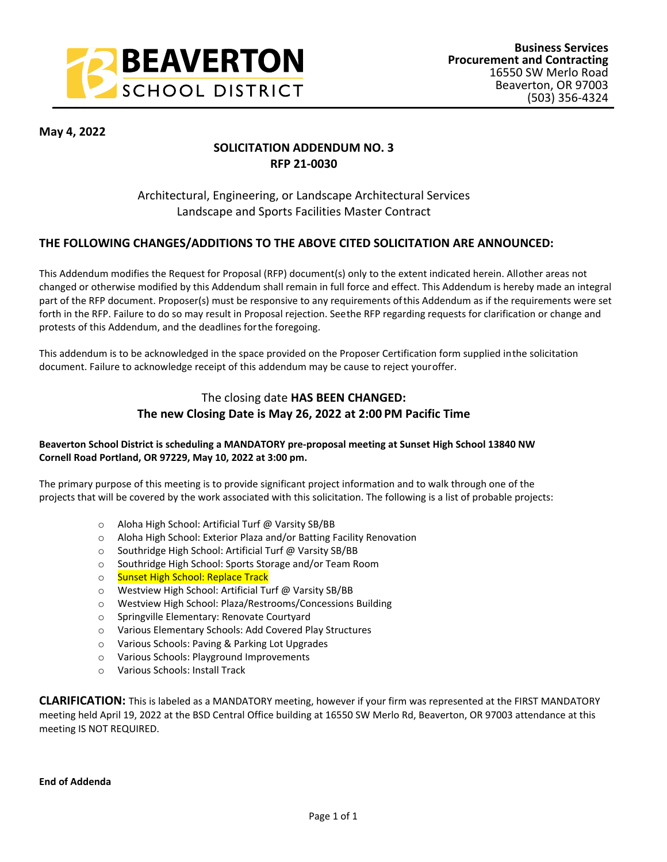

**May 4, 2022**

# **SOLICITATION ADDENDUM NO. 3 RFP 21-0030**

# Architectural, Engineering, or Landscape Architectural Services Landscape and Sports Facilities Master Contract

### **THE FOLLOWING CHANGES/ADDITIONS TO THE ABOVE CITED SOLICITATION ARE ANNOUNCED:**

This Addendum modifies the Request for Proposal (RFP) document(s) only to the extent indicated herein. All other areas not changed or otherwise modified by this Addendum shall remain in full force and effect. This Addendum is hereby made an integral part of the RFP document. Proposer(s) must be responsive to any requirements of this Addendum as if the requirements were set forth in the RFP. Failure to do so may result in Proposal rejection. See the RFP regarding requests for clarification or change and protests of this Addendum, and the deadlines for the foregoing.

This addendum is to be acknowledged in the space provided on the Proposer Certification form supplied in the solicitation document. Failure to acknowledge receipt of this addendum may be cause to reject your offer.

## The closing date **HAS BEEN CHANGED: The new Closing Date is May 26, 2022 at 2:00 PM Pacific Time**

#### **Beaverton School District is scheduling a MANDATORY pre-proposal meeting at Sunset High School 13840 NW Cornell Road Portland, OR 97229, May 10, 2022 at 3:00 pm.**

The primary purpose of this meeting is to provide significant project information and to walk through one of the projects that will be covered by the work associated with this solicitation. The following is a list of probable projects:

- o Aloha High School: Artificial Turf @ Varsity SB/BB
- o Aloha High School: Exterior Plaza and/or Batting Facility Renovation
- o Southridge High School: Artificial Turf @ Varsity SB/BB
- o Southridge High School: Sports Storage and/or Team Room
- o Sunset High School: Replace Track
- o Westview High School: Artificial Turf @ Varsity SB/BB
- o Westview High School: Plaza/Restrooms/Concessions Building
- o Springville Elementary: Renovate Courtyard
- o Various Elementary Schools: Add Covered Play Structures
- o Various Schools: Paving & Parking Lot Upgrades
- o Various Schools: Playground Improvements
- o Various Schools: Install Track

**CLARIFICATION:** This is labeled as a MANDATORY meeting, however if your firm was represented at the FIRST MANDATORY meeting held April 19, 2022 at the BSD Central Office building at 16550 SW Merlo Rd, Beaverton, OR 97003 attendance at this meeting IS NOT REQUIRED.

**End of Addenda**